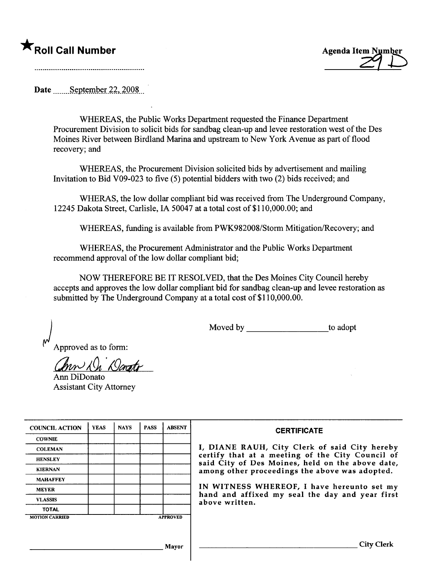## ★<br>Roll Call Number Agenda Item Number



Date September  $22,2008$ 

WHEREAS, the Public Works Deparment requested the Finance Deparment Procurement Division to solicit bids for sandbag clean-up and levee restoration west of the Des Moines River between Birdland Marina and upstream to New York Avenue as part of flood recovery; and

WHEREAS, the Procurement Division solicited bids by advertisement and mailing Invitation to Bid V09-023 to five (5) potential bidders with two (2) bids received; and

WHERAS, the low dollar compliant bid was received from The Underground Company, 12245 Dakota Street, Carlisle, IA 50047 at a total cost of \$110,000.00; and

WHEREAS, fuding is available from PWK982008/Storm Mitigation/Recovery; and

WHEREAS, the Procurement Administrator and the Public Works Deparment recommend approval of the low dollar compliant bid;

NOW THEREFORE BE IT RESOLVED, that the Des Moines City Council hereby accepts and approves the low dollar compliant bid for sandbag clean-up and levee restoration as submitted by The Underground Company at a total cost of \$110,000.00.

Moved by \_\_\_\_\_\_\_\_\_\_\_\_\_\_\_\_\_\_\_\_\_\_\_to adopt

Approved as to form:

 $m\lambda\Omega$  Dongto Ann DiDonato

Assistant City Attorney

| <b>COUNCIL ACTION</b> | <b>YEAS</b> | <b>NAYS</b> | <b>PASS</b> | <b>ABSENT</b>   | <b>CERTIFICATE</b>                                                                                   |
|-----------------------|-------------|-------------|-------------|-----------------|------------------------------------------------------------------------------------------------------|
| <b>COWNIE</b>         |             |             |             |                 |                                                                                                      |
| <b>COLEMAN</b>        |             |             |             |                 | I, DIANE RAUH, City Clerk of said City hereby                                                        |
| <b>HENSLEY</b>        |             |             |             |                 | certify that at a meeting of the City Council of<br>said City of Des Moines, held on the above date, |
| <b>KIERNAN</b>        |             |             |             |                 | among other proceedings the above was adopted.                                                       |
| <b>MAHAFFEY</b>       |             |             |             |                 |                                                                                                      |
| <b>MEYER</b>          |             |             |             |                 | IN WITNESS WHEREOF, I have hereunto set my<br>hand and affixed my seal the day and year first        |
| <b>VLASSIS</b>        |             |             |             |                 | above written.                                                                                       |
| <b>TOTAL</b>          |             |             |             |                 |                                                                                                      |
| <b>MOTION CARRIED</b> |             |             |             | <b>APPROVED</b> |                                                                                                      |
|                       |             |             |             |                 |                                                                                                      |
|                       |             |             |             | Mavor           | City Clerk                                                                                           |